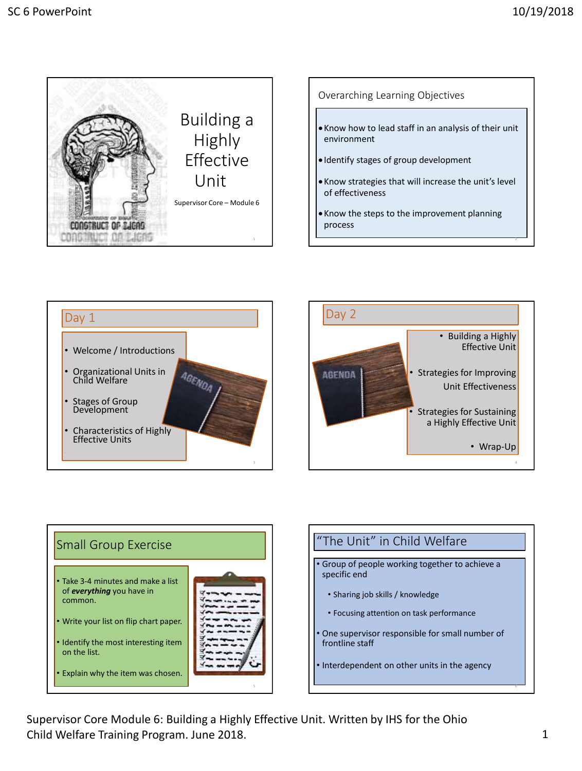









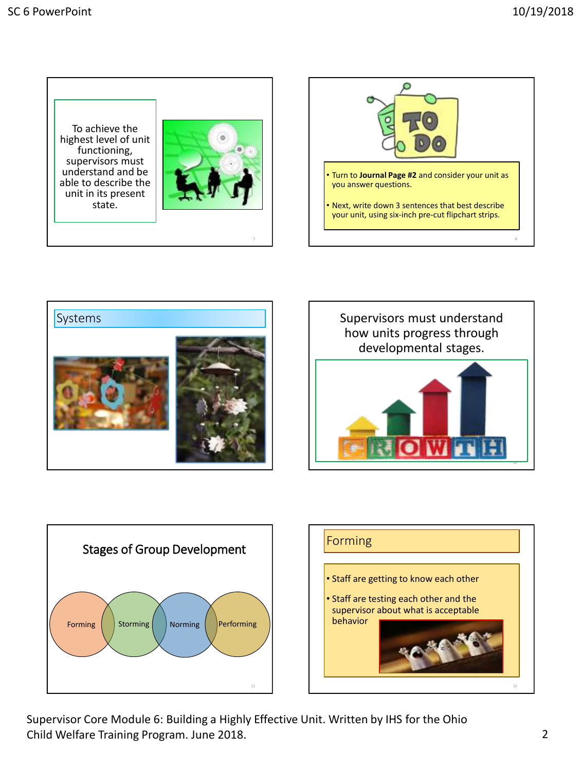To achieve the highest level of unit functioning, supervisors must understand and be able to describe the unit in its present state.









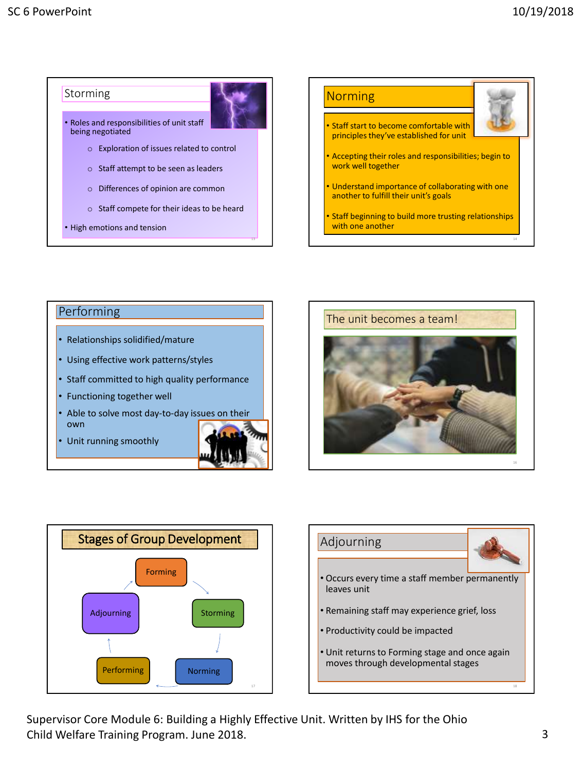

#### **Performing**

- Relationships solidified/mature
- Using effective work patterns/styles
- Staff committed to high quality performance
- Functioning together well
- Able to solve most day-to-day issues on their own
- Unit running smoothly







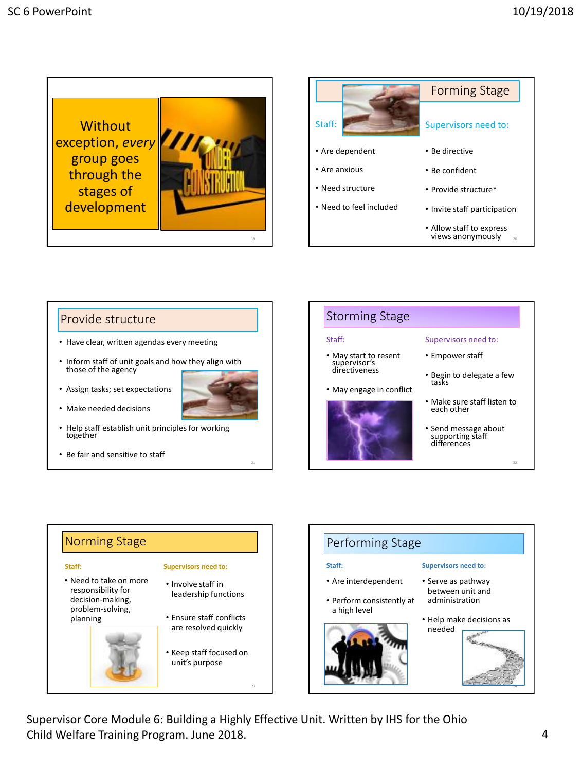



#### Provide structure

- Have clear, written agendas every meeting
- Inform staff of unit goals and how they align with those of the agency
- Assign tasks; set expectations



- Help staff establish unit principles for working together
- Be fair and sensitive to staff

# Storming Stage • May start to resent supervisor's directiveness Supervisors need to: • Empower staff

Staff:

- May engage in conflict • Begin to delegate a few tasks
	- Make sure staff listen to each other
	- Send message about supporting staff differences

#### Norming Stage **Staff:** • Need to take on more responsibility for decision-making, problem-solving, planning **Supervisors need to:** • Involve staff in leadership functions • Ensure staff conflicts are resolved quickly • Keep staff focused on unit's purpose

#### Performing Stage **Staff:** • Are interdependent • Perform consistently at a high level **Supervisors need to:** • Serve as pathway between unit and administration • Help make decisions as needed 24

Supervisor Core Module 6: Building a Highly Effective Unit. Written by IHS for the Ohio Child Welfare Training Program. June 2018. 4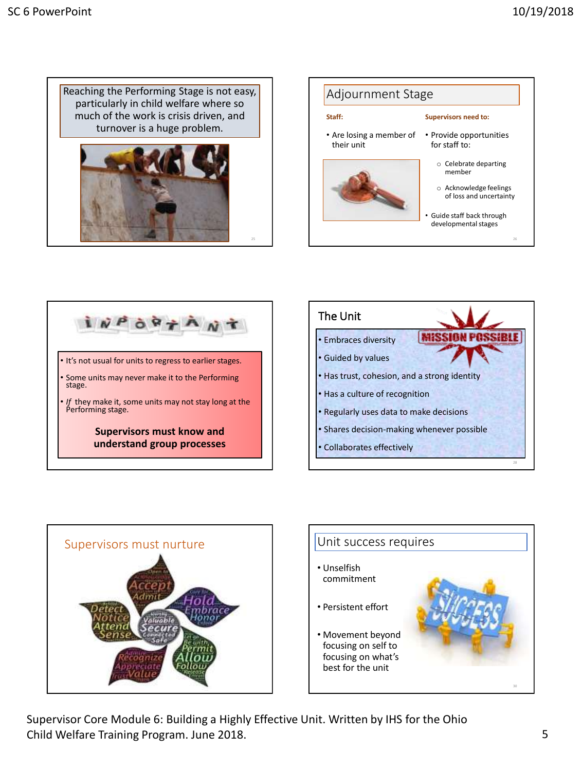Reaching the Performing Stage is not easy, particularly in child welfare where so much of the work is crisis driven, and turnover is a huge problem.











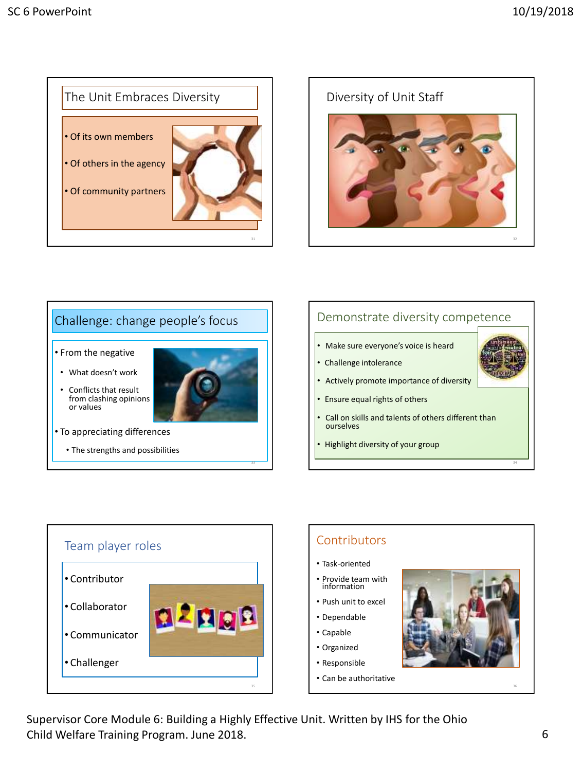



# Challenge: change people's focus • From the negative • What doesn't work Conflicts that result from clashing opinions or values • To appreciating differences • The strengths and possibilities

# Demonstrate diversity competence

- Make sure everyone's voice is heard
- Challenge intolerance
- Actively promote importance of diversity
- Ensure equal rights of others
- Call on skills and talents of others different than ourselves
- Highlight diversity of your group





Supervisor Core Module 6: Building a Highly Effective Unit. Written by IHS for the Ohio Child Welfare Training Program. June 2018. 6

33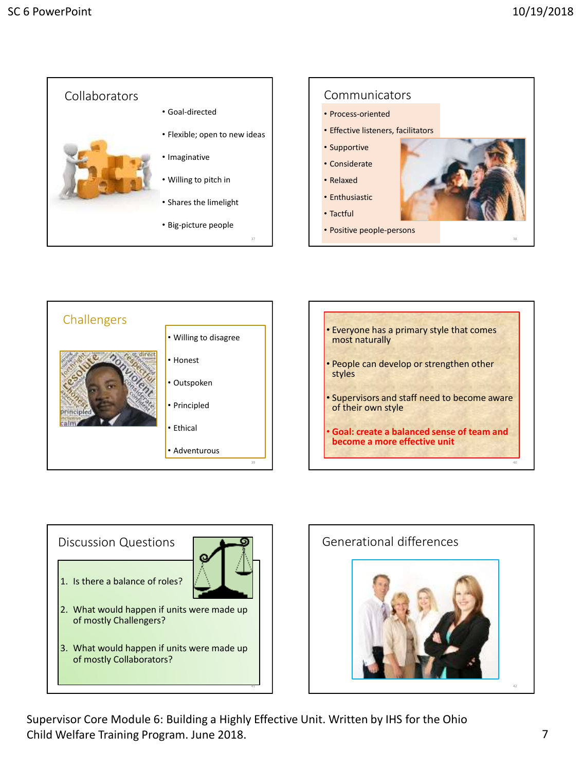







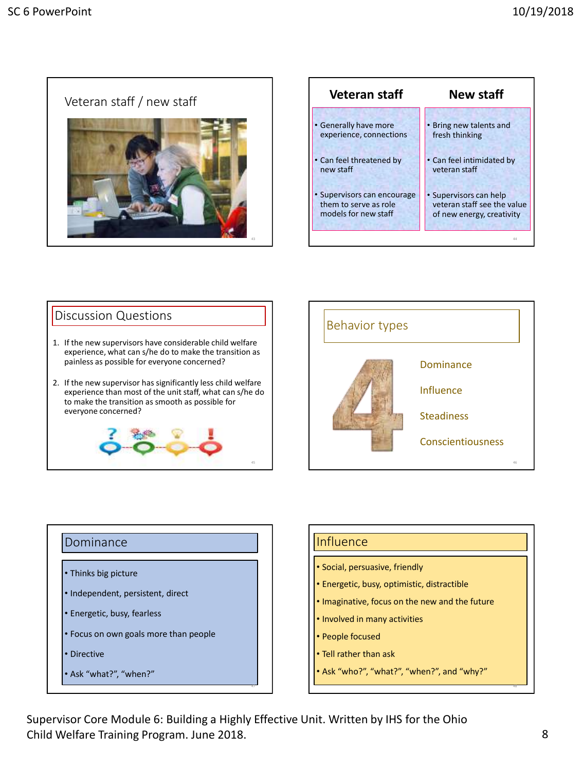



# Discussion Questions 1. If the new supervisors have considerable child welfare experience, what can s/he do to make the transition as painless as possible for everyone concerned? 2. If the new supervisor has significantly less child welfare experience than most of the unit staff, what can s/he do to make the transition as smooth as possible for everyone concerned?



# Dominance • Thinks big picture • Independent, persistent, direct • Energetic, busy, fearless • Focus on own goals more than people • Directive

• Ask "what?", "when?"

# **Influence**

- Social, persuasive, friendly
- Energetic, busy, optimistic, distractible
- Imaginative, focus on the new and the future
- Involved in many activities
- People focused
- Tell rather than ask
- Ask "who?", "what?", "when?", and "why?"

Supervisor Core Module 6: Building a Highly Effective Unit. Written by IHS for the Ohio Child Welfare Training Program. June 2018. 8

47

45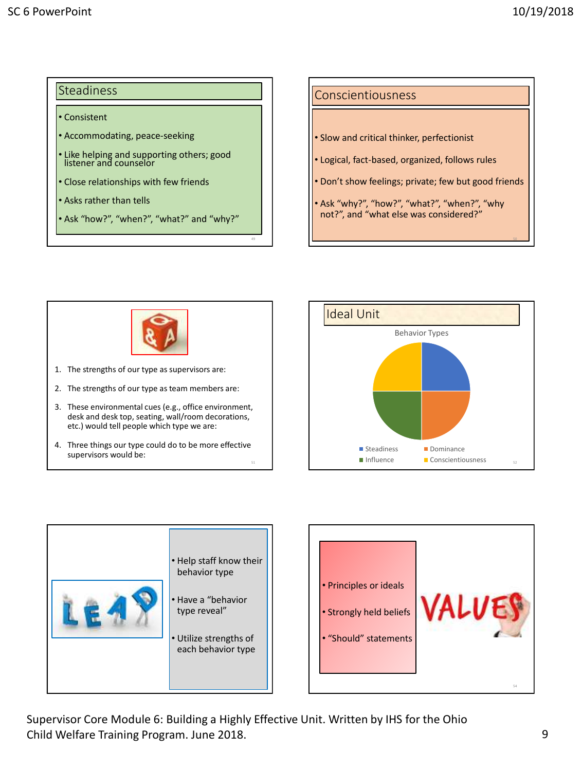50

### Steadiness

#### • Consistent

- Accommodating, peace-seeking
- Like helping and supporting others; good listener and counselor
- Close relationships with few friends
- Asks rather than tells
- Ask "how?", "when?", "what?" and "why?"

#### Conscientiousness

- Slow and critical thinker, perfectionist
- Logical, fact-based, organized, follows rules
- Don't show feelings; private; few but good friends
- Ask "why?", "how?", "what?", "when?", "why not?", and "what else was considered?"



- 1. The strengths of our type as supervisors are:
- 2. The strengths of our type as team members are:
- 3. These environmental cues (e.g., office environment, desk and desk top, seating, wall/room decorations, etc.) would tell people which type we are:
- 4. Three things our type could do to be more effective supervisors would be:







Supervisor Core Module 6: Building a Highly Effective Unit. Written by IHS for the Ohio Child Welfare Training Program. June 2018. 9

49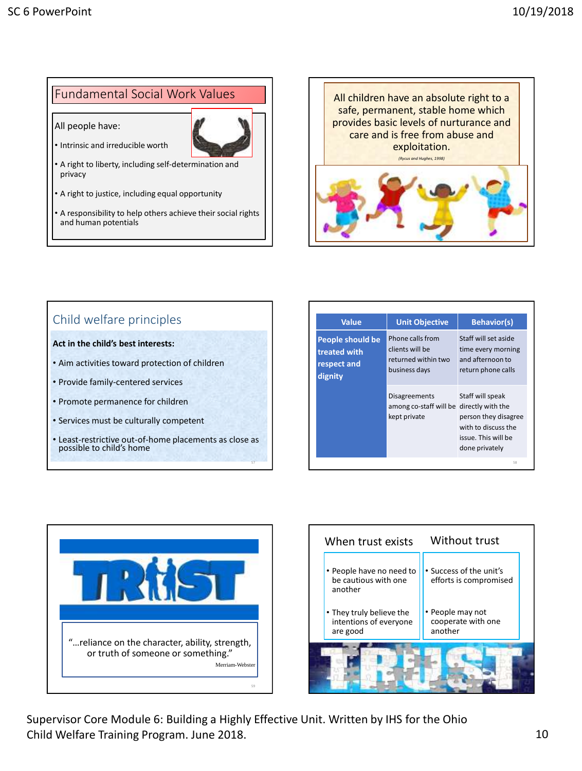### Fundamental Social Work Values

All people have:



55

- Intrinsic and irreducible worth
- A right to liberty, including self-determination and privacy
- A right to justice, including equal opportunity
- A responsibility to help others achieve their social rights and human potentials



# Child welfare principles

#### **Act in the child's best interests:**

- Aim activities toward protection of children
- Provide family-centered services
- Promote permanence for children
- Services must be culturally competent
- Least-restrictive out-of-home placements as close as possible to child's home

| <b>Value</b>                                               | <b>Unit Objective</b>                                                       | <b>Behavior(s)</b>                                                                                                            |
|------------------------------------------------------------|-----------------------------------------------------------------------------|-------------------------------------------------------------------------------------------------------------------------------|
| People should be<br>treated with<br>respect and<br>dignity | Phone calls from<br>clients will be<br>returned within two<br>business days | Staff will set aside<br>time every morning<br>and afternoon to<br>return phone calls                                          |
|                                                            | <b>Disagreements</b><br>among co-staff will be<br>kept private              | Staff will speak<br>directly with the<br>person they disagree<br>with to discuss the<br>issue. This will be<br>done privately |
|                                                            |                                                                             | 58                                                                                                                            |



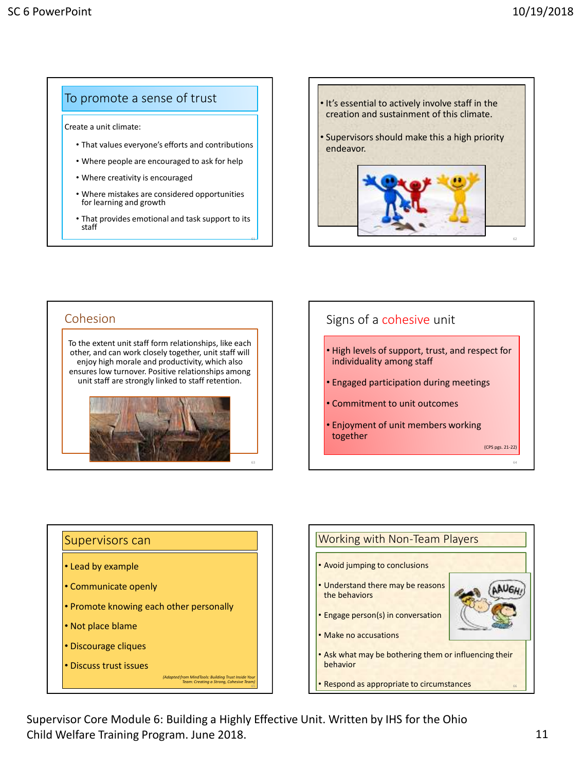### To promote a sense of trust

Create a unit climate:

- That values everyone's efforts and contributions
- Where people are encouraged to ask for help
- Where creativity is encouraged
- Where mistakes are considered opportunities for learning and growth
- That provides emotional and task support to its staff

61





# Signs of a cohesive unit • High levels of support, trust, and respect for individuality among staff • Engaged participation during meetings • Commitment to unit outcomes • Enjoyment of unit members working together (CPS pgs. 21-22) 64

# Supervisors can • Lead by example • Communicate openly • Promote knowing each other personally • Not place blame • Discourage cliques • Discuss trust issues *(Adapted from MindTools: Building Trust Inside Your Team: Creating a Strong, Cohesive Team)*

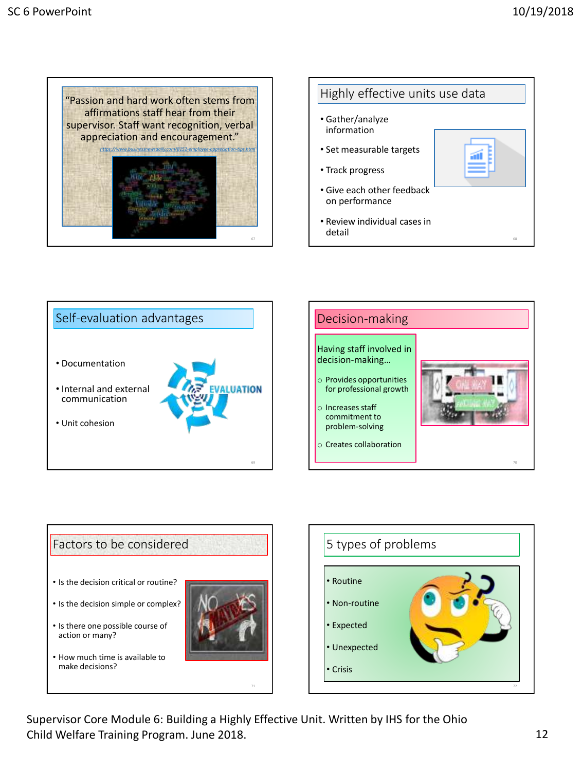









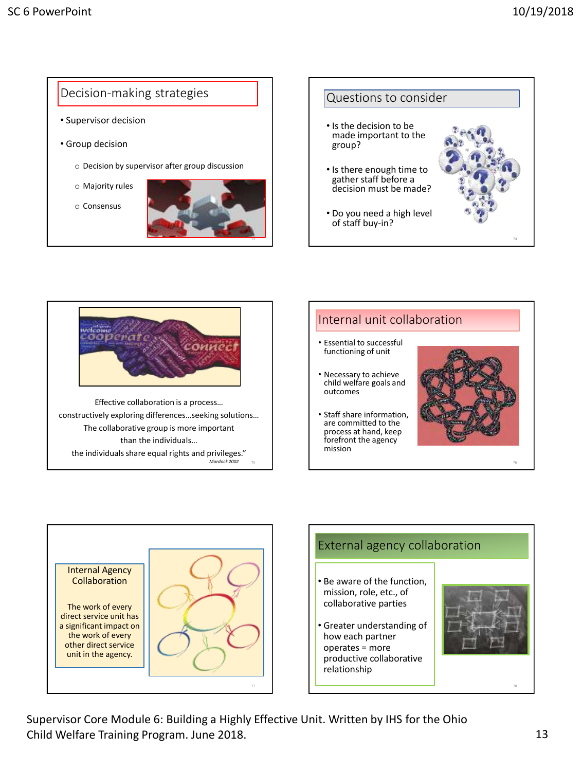



constructively exploring differences…seeking solutions… The collaborative group is more important than the individuals… the individuals share equal rights and privileges." *Mordock 2002* 

### Internal unit collaboration • Essential to successful functioning of unit

- Necessary to achieve child welfare goals and outcomes
- Staff share information, are committed to the process at hand, keep forefront the agency mission



76



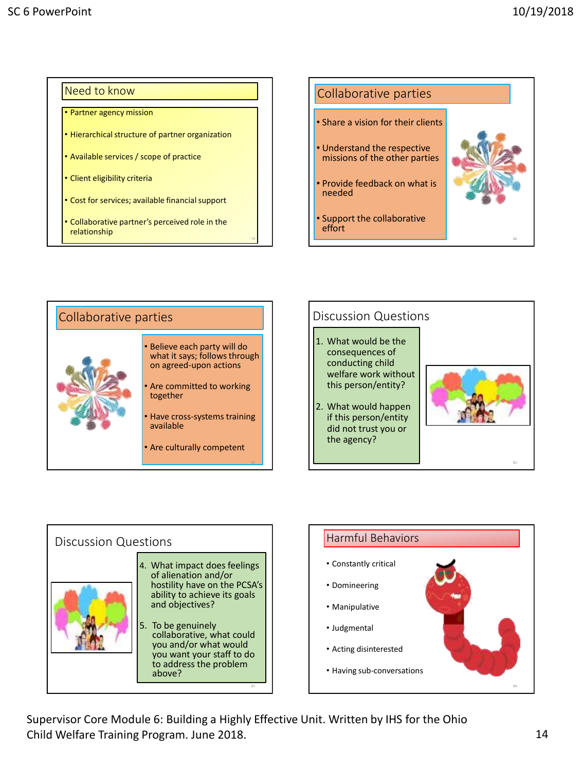#### Need to know

- Partner agency mission
- Hierarchical structure of partner organization
- Available services / scope of practice
- Client eligibility criteria
- Cost for services; available financial support
- Collaborative partner's perceived role in the relationship











Supervisor Core Module 6: Building a Highly Effective Unit. Written by IHS for the Ohio Child Welfare Training Program. June 2018. 14

79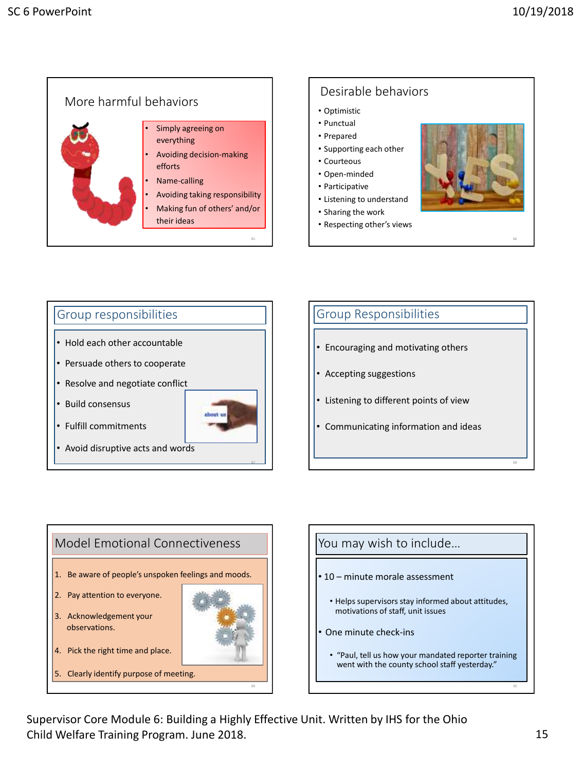







Supervisor Core Module 6: Building a Highly Effective Unit. Written by IHS for the Ohio Child Welfare Training Program. June 2018. 15 and 15 and 15 and 15 and 15 and 15 and 15 and 15 and 15 and 15 and 15 and 15 and 15 and 15 and 15 and 16 and 16 and 16 and 16 and 16 and 16 and 16 and 16 and 16 and 16 and 16 a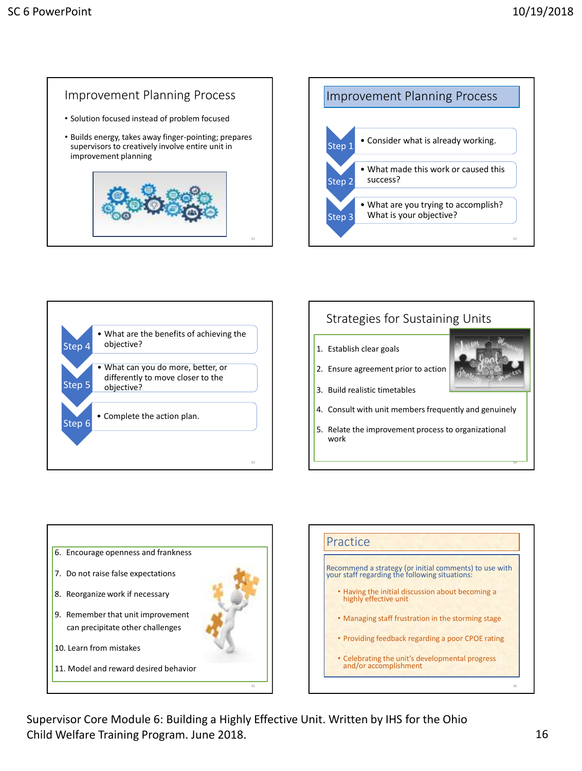# Improvement Planning Process

- Solution focused instead of problem focused
- Builds energy, takes away finger-pointing; prepares supervisors to creatively involve entire unit in improvement planning







### Strategies for Sustaining Units

- 1. Establish clear goals
- 2. Ensure agreement prior to action



94

- 3. Build realistic timetables
- 4. Consult with unit members frequently and genuinely
- 5. Relate the improvement process to organizational work





Supervisor Core Module 6: Building a Highly Effective Unit. Written by IHS for the Ohio Child Welfare Training Program. June 2018. 16 16 17 18: 16 16 17: 16 17: 16 17: 16 17: 16 17: 16 17: 16 17: 16